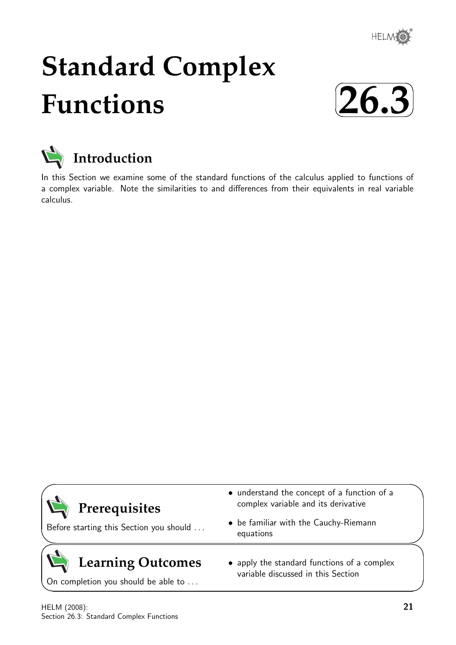

# **Standard Complex Functions**





In this Section we examine some of the standard functions of the calculus applied to functions of a complex variable. Note the similarities to and differences from their equivalents in real variable calculus.

| Prerequisites<br>Before starting this Section you should | • understand the concept of a function of a<br>complex variable and its derivative<br>• be familiar with the Cauchy-Riemann<br>equations |  |
|----------------------------------------------------------|------------------------------------------------------------------------------------------------------------------------------------------|--|
| Learning Outcomes<br>On completion you should be able to | • apply the standard functions of a complex<br>variable discussed in this Section                                                        |  |

HELM (2008): Section 26.3: Standard Complex Functions

 $\overline{\phantom{0}}$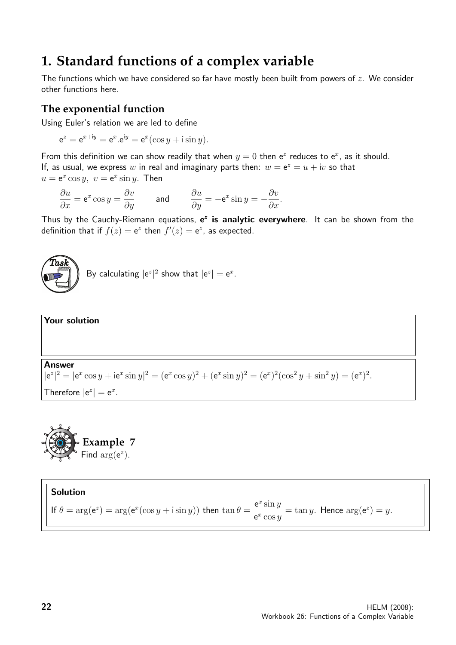## **1. Standard functions of a complex variable**

The functions which we have considered so far have mostly been built from powers of  $z$ . We consider other functions here.

#### **The exponential function**

Using Euler's relation we are led to define

 $e^z = e^{x+iy} = e^x \cdot e^{iy} = e^x(\cos y + i \sin y).$ 

From this definition we can show readily that when  $y = 0$  then  $e^z$  reduces to  $e^x$ , as it should. If, as usual, we express w in real and imaginary parts then:  $w = e^z = u + iv$  so that  $u = e^x \cos y$ ,  $v = e^x \sin y$ . Then

$$
\frac{\partial u}{\partial x} = e^x \cos y = \frac{\partial v}{\partial y} \qquad \text{and} \qquad \frac{\partial u}{\partial y} = -e^x \sin y = -\frac{\partial v}{\partial x}.
$$

Thus by the Cauchy-Riemann equations, e<sup>z</sup> is analytic everywhere. It can be shown from the definition that if  $f(z) = e^z$  then  $f'(z) = e^z$ , as expected.



By calculating  $|e^z|^2$  show that  $|e^z| = e^x$ .





#### Solution If  $\theta = \arg(e^z) = \arg(e^x(\cos y + i \sin y))$  then  $\tan \theta =$  $e^x \sin y$  $\frac{e^{-\sin y}}{e^x \cos y} = \tan y$ . Hence  $\arg(e^z) = y$ .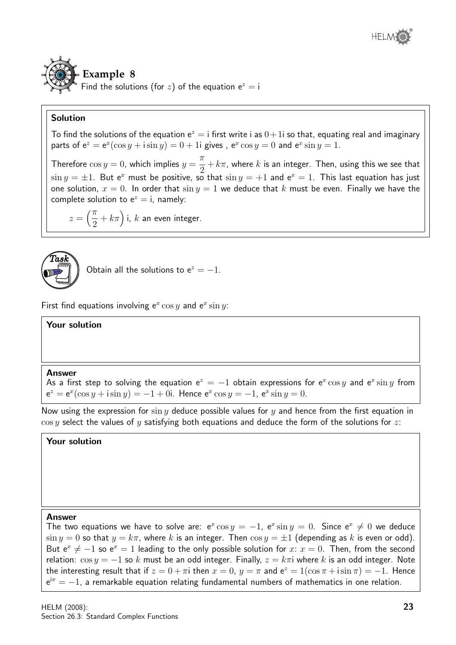

#### Solution

To find the solutions of the equation  $e^z = i$  first write i as  $0+1i$  so that, equating real and imaginary parts of  $e^z = e^x(\cos y + i \sin y) = 0 + 1$ i gives,  $e^x \cos y = 0$  and  $e^x \sin y = 1$ .

Therefore  $\cos y = 0$ , which implies  $y =$  $\pi$ 2  $+k\pi$ , where  $k$  is an integer. Then, using this we see that  $\sin y = \pm 1$ . But e<sup>x</sup> must be positive, so that  $\sin y = +1$  and e<sup>x</sup> = 1. This last equation has just one solution,  $x = 0$ . In order that  $\sin y = 1$  we deduce that k must be even. Finally we have the complete solution to  $e^z = i$ , namely:

$$
z = \left(\frac{\pi}{2} + k\pi\right)
$$
i, k an even integer.



Obtain all the solutions to  $e^z = -1$ .

First find equations involving  $e^x \cos y$  and  $e^x \sin y$ :

#### Your solution

#### Answer

As a first step to solving the equation  $e^z = -1$  obtain expressions for  $e^x \cos y$  and  $e^x \sin y$  from  $e^z = e^x(\cos y + i \sin y) = -1 + 0i$ . Hence  $e^x \cos y = -1$ ,  $e^x \sin y = 0$ .

Now using the expression for  $\sin y$  deduce possible values for y and hence from the first equation in  $\cos y$  select the values of y satisfying both equations and deduce the form of the solutions for z:

Your solution

#### Answer

The two equations we have to solve are:  $e^x \cos y = -1$ ,  $e^x \sin y = 0$ . Since  $e^x \neq 0$  we deduce  $\sin y = 0$  so that  $y = k\pi$ , where k is an integer. Then  $\cos y = \pm 1$  (depending as k is even or odd). But  $e^x \neq -1$  so  $e^x = 1$  leading to the only possible solution for  $x: x = 0$ . Then, from the second relation:  $\cos y = -1$  so k must be an odd integer. Finally,  $z = k\pi i$  where k is an odd integer. Note the interesting result that if  $z = 0 + \pi i$  then  $x = 0$ ,  $y = \pi$  and  $e^z = 1(\cos \pi + i \sin \pi) = -1$ . Hence  $e^{i\pi} = -1$ , a remarkable equation relating fundamental numbers of mathematics in one relation.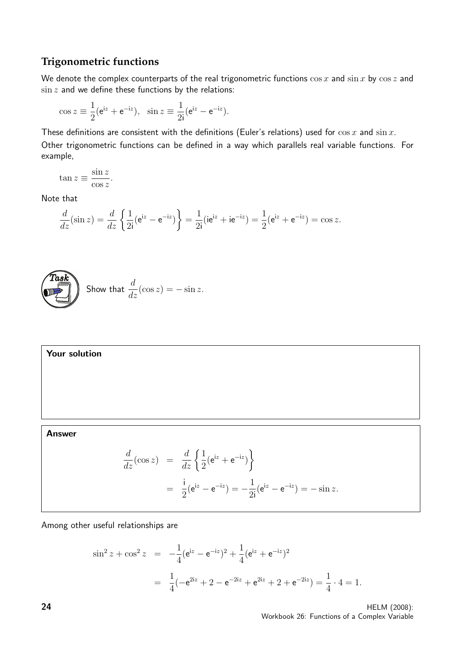#### **Trigonometric functions**

We denote the complex counterparts of the real trigonometric functions  $\cos x$  and  $\sin x$  by  $\cos z$  and  $\sin z$  and we define these functions by the relations:

$$
\cos z \equiv \frac{1}{2} (e^{iz} + e^{-iz}), \quad \sin z \equiv \frac{1}{2i} (e^{iz} - e^{-iz}).
$$

These definitions are consistent with the definitions (Euler's relations) used for  $\cos x$  and  $\sin x$ . Other trigonometric functions can be defined in a way which parallels real variable functions. For example,

$$
\tan z \equiv \frac{\sin z}{\cos z}.
$$

Note that

$$
\frac{d}{dz}(\sin z) = \frac{d}{dz} \left\{ \frac{1}{2i} (e^{iz} - e^{-iz}) \right\} = \frac{1}{2i} (ie^{iz} + ie^{-iz}) = \frac{1}{2} (e^{iz} + e^{-iz}) = \cos z.
$$



Your solution

#### Answer

$$
\frac{d}{dz}(\cos z) = \frac{d}{dz} \left\{ \frac{1}{2} (e^{iz} + e^{-iz}) \right\}
$$
  
=  $\frac{i}{2} (e^{iz} - e^{-iz}) = -\frac{1}{2i} (e^{iz} - e^{-iz}) = -\sin z.$ 

Among other useful relationships are

$$
\sin^2 z + \cos^2 z = -\frac{1}{4} (e^{iz} - e^{-iz})^2 + \frac{1}{4} (e^{iz} + e^{-iz})^2
$$
  
=  $\frac{1}{4} (-e^{2iz} + 2 - e^{-2iz} + e^{2iz} + 2 + e^{-2iz}) = \frac{1}{4} \cdot 4 = 1.$ 

**24** HELM (2008): Workbook 26: Functions of a Complex Variable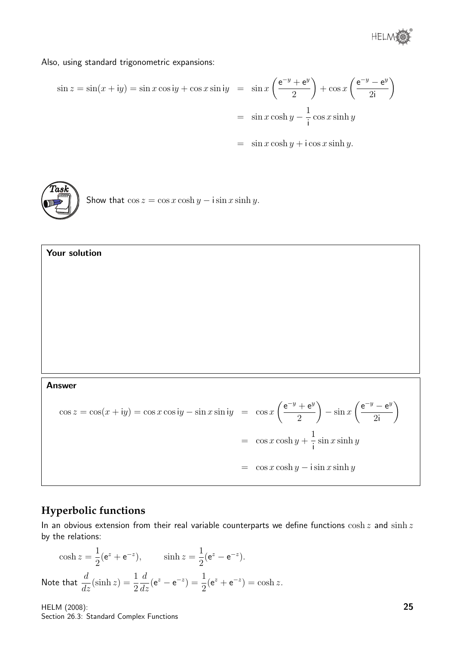

Also, using standard trigonometric expansions:

$$
\sin z = \sin(x + iy) = \sin x \cos y + \cos x \sin y = \sin x \left(\frac{e^{-y} + e^{y}}{2}\right) + \cos x \left(\frac{e^{-y} - e^{y}}{2i}\right)
$$

$$
= \sin x \cosh y - \frac{1}{i} \cos x \sinh y
$$

 $=$   $\sin x \cosh y + i \cos x \sinh y.$ 



Your solution

Show that  $\cos z = \cos x \cosh y - i \sin x \sinh y$ .

#### Answer

$$
\cos z = \cos(x + iy) = \cos x \cos iy - \sin x \sin iy = \cos x \left(\frac{e^{-y} + e^{y}}{2}\right) - \sin x \left(\frac{e^{-y} - e^{y}}{2i}\right)
$$

$$
= \cos x \cosh y + \frac{1}{i} \sin x \sinh y
$$

$$
= \cos x \cosh y - i \sin x \sinh y
$$

### **Hyperbolic functions**

In an obvious extension from their real variable counterparts we define functions  $\cosh z$  and  $\sinh z$ by the relations:

$$
\cosh z = \frac{1}{2} (e^z + e^{-z}), \qquad \sinh z = \frac{1}{2} (e^z - e^{-z}).
$$
  
Note that  $\frac{d}{dz} (\sinh z) = \frac{1}{2} \frac{d}{dz} (e^z - e^{-z}) = \frac{1}{2} (e^z + e^{-z}) = \cosh z.$ 

HELM (2008): Section 26.3: Standard Complex Functions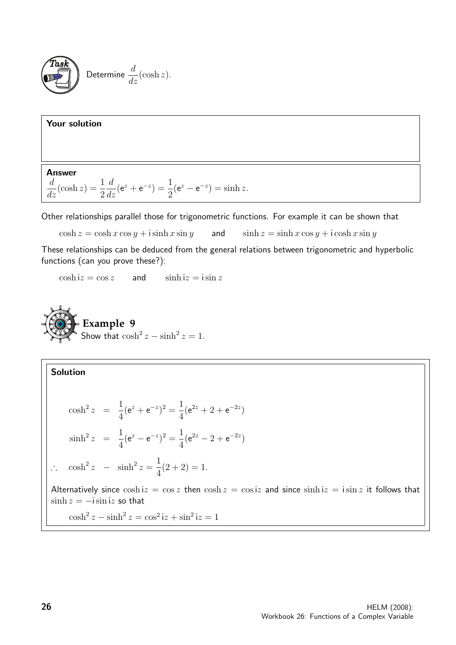

#### Your solution

Answer

$$
\frac{d}{dz}(\cosh z) = \frac{1}{2}\frac{d}{dz}(e^z + e^{-z}) = \frac{1}{2}(e^z - e^{-z}) = \sinh z.
$$

Other relationships parallel those for trigonometric functions. For example it can be shown that

 $\cosh z = \cosh x \cos y + i \sinh x \sin y$  and  $\sinh z = \sinh x \cos y + i \cosh x \sin y$ 

These relationships can be deduced from the general relations between trigonometric and hyperbolic functions (can you prove these?):

 $\cosh iz = \cos z$  and  $\sinh iz = i \sin z$ 

**Example 9**  
Show that 
$$
\cosh^2 z - \sinh^2 z = 1
$$
.

Solution  
\n
$$
\cosh^2 z = \frac{1}{4} (e^z + e^{-z})^2 = \frac{1}{4} (e^{2z} + 2 + e^{-2z})
$$
\n
$$
\sinh^2 z = \frac{1}{4} (e^z - e^{-z})^2 = \frac{1}{4} (e^{2z} - 2 + e^{-2z})
$$
\n
$$
\therefore \cosh^2 z - \sinh^2 z = \frac{1}{4} (2 + 2) = 1.
$$
\nAlternatively since  $\cosh iz = \cos z$  then  $\cosh z = \cos iz$  and since  $\sinh iz = i \sin z$  it follows that  $\sinh z = -i \sin iz$  so that  $\cosh^2 z - \sinh^2 z = \cos^2 iz + \sin^2 iz = 1$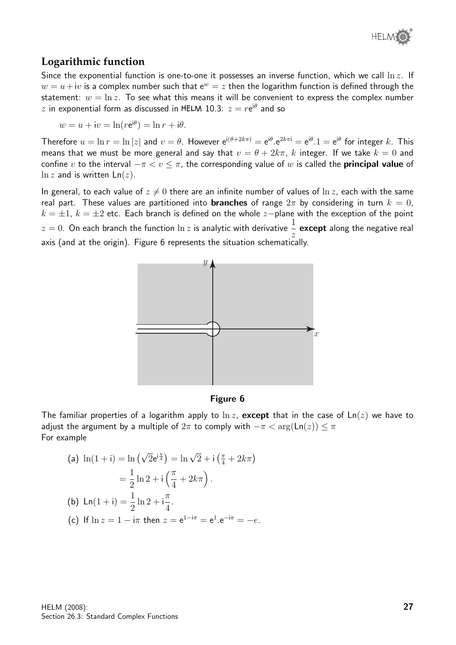

#### **Logarithmic function**

Since the exponential function is one-to-one it possesses an inverse function, which we call  $\ln z$ . If  $w = u + iv$  is a complex number such that  $e^w = z$  then the logarithm function is defined through the statement:  $w = \ln z$ . To see what this means it will be convenient to express the complex number  $z$  in exponential form as discussed in HELM 10.3:  $z = r \mathrm{e}^{\mathrm{i} \theta}$  and so

$$
w = u + iv = \ln(re^{i\theta}) = \ln r + i\theta.
$$

Therefore  $u=\ln r=\ln |z|$  and  $v=\theta$ . However  $e^{i(\theta+2k\pi)}=e^{i\theta}.e^{2k\pi i}=e^{i\theta}.1=e^{i\theta}$  for integer  $k$ . This means that we must be more general and say that  $v = \theta + 2k\pi$ , k integer. If we take  $k = 0$  and confine v to the interval  $-\pi < v \leq \pi$ , the corresponding value of w is called the **principal value** of  $\ln z$  and is written  $\text{Ln}(z)$ .

In general, to each value of  $z \neq 0$  there are an infinite number of values of  $\ln z$ , each with the same real part. These values are partitioned into **branches** of range  $2\pi$  by considering in turn  $k = 0$ ,  $k = \pm 1$ ,  $k = \pm 2$  etc. Each branch is defined on the whole z-plane with the exception of the point  $z=0.$  On each branch the function  $\ln z$  is analytic with derivative  $\frac{1}{-}$   $\mathop{\bf except}$  along the negative real z axis (and at the origin). Figure 6 represents the situation schematically.



#### Figure 6

The familiar properties of a logarithm apply to  $\ln z$ , except that in the case of  $\text{Ln}(z)$  we have to adjust the argument by a multiple of  $2\pi$  to comply with  $-\pi < \arg(\text{Ln}(z)) \leq \pi$ For example

(a) 
$$
\ln(1 + i) = \ln(\sqrt{2}e^{i\frac{\pi}{4}}) = \ln\sqrt{2} + i(\frac{\pi}{4} + 2k\pi)
$$
  
\n
$$
= \frac{1}{2}\ln 2 + i(\frac{\pi}{4} + 2k\pi).
$$
  
\n(b)  $\ln(1 + i) = \frac{1}{2}\ln 2 + i\frac{\pi}{4}.$ 

(c) If 
$$
\ln z = 1 - i\pi
$$
 then  $z = e^{1-i\pi} = e^1 \cdot e^{-i\pi} = -e$ .